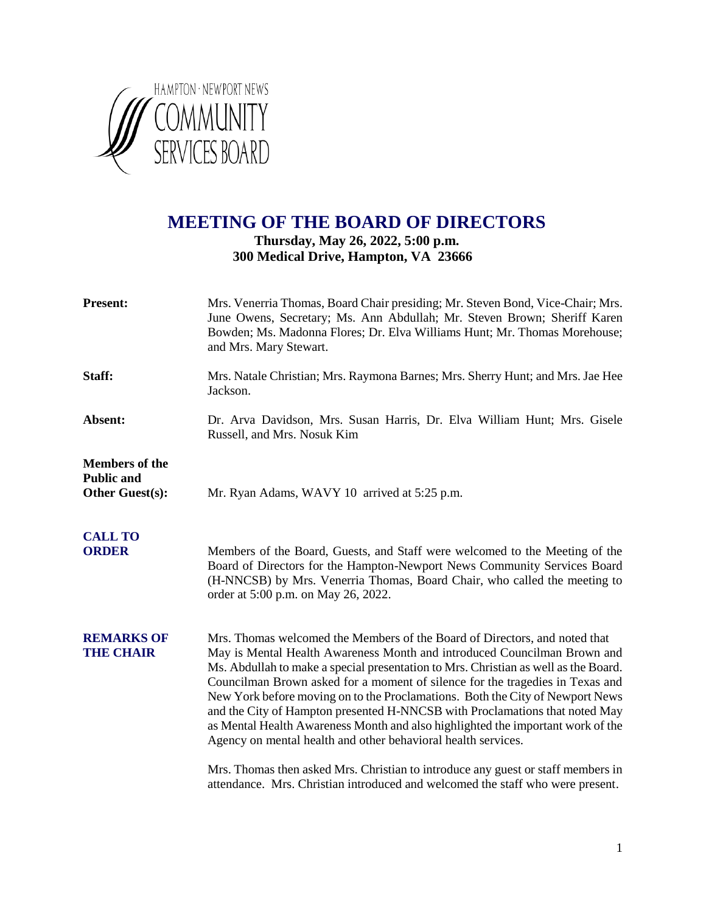

## **MEETING OF THE BOARD OF DIRECTORS**

### **Thursday, May 26, 2022, 5:00 p.m. 300 Medical Drive, Hampton, VA 23666**

| <b>Present:</b>                                                      | Mrs. Venerria Thomas, Board Chair presiding; Mr. Steven Bond, Vice-Chair; Mrs.<br>June Owens, Secretary; Ms. Ann Abdullah; Mr. Steven Brown; Sheriff Karen<br>Bowden; Ms. Madonna Flores; Dr. Elva Williams Hunt; Mr. Thomas Morehouse;<br>and Mrs. Mary Stewart.                                                                                                                                                                                                                                                                                                                                                                                  |
|----------------------------------------------------------------------|----------------------------------------------------------------------------------------------------------------------------------------------------------------------------------------------------------------------------------------------------------------------------------------------------------------------------------------------------------------------------------------------------------------------------------------------------------------------------------------------------------------------------------------------------------------------------------------------------------------------------------------------------|
| Staff:                                                               | Mrs. Natale Christian; Mrs. Raymona Barnes; Mrs. Sherry Hunt; and Mrs. Jae Hee<br>Jackson.                                                                                                                                                                                                                                                                                                                                                                                                                                                                                                                                                         |
| Absent:                                                              | Dr. Arva Davidson, Mrs. Susan Harris, Dr. Elva William Hunt; Mrs. Gisele<br>Russell, and Mrs. Nosuk Kim                                                                                                                                                                                                                                                                                                                                                                                                                                                                                                                                            |
| <b>Members of the</b><br><b>Public and</b><br><b>Other Guest(s):</b> | Mr. Ryan Adams, WAVY 10 arrived at 5:25 p.m.                                                                                                                                                                                                                                                                                                                                                                                                                                                                                                                                                                                                       |
| <b>CALL TO</b><br><b>ORDER</b>                                       | Members of the Board, Guests, and Staff were welcomed to the Meeting of the<br>Board of Directors for the Hampton-Newport News Community Services Board<br>(H-NNCSB) by Mrs. Venerria Thomas, Board Chair, who called the meeting to<br>order at 5:00 p.m. on May 26, 2022.                                                                                                                                                                                                                                                                                                                                                                        |
| <b>REMARKS OF</b><br><b>THE CHAIR</b>                                | Mrs. Thomas welcomed the Members of the Board of Directors, and noted that<br>May is Mental Health Awareness Month and introduced Councilman Brown and<br>Ms. Abdullah to make a special presentation to Mrs. Christian as well as the Board.<br>Councilman Brown asked for a moment of silence for the tragedies in Texas and<br>New York before moving on to the Proclamations. Both the City of Newport News<br>and the City of Hampton presented H-NNCSB with Proclamations that noted May<br>as Mental Health Awareness Month and also highlighted the important work of the<br>Agency on mental health and other behavioral health services. |
|                                                                      | Mrs. Thomas then asked Mrs. Christian to introduce any guest or staff members in<br>attendance. Mrs. Christian introduced and welcomed the staff who were present.                                                                                                                                                                                                                                                                                                                                                                                                                                                                                 |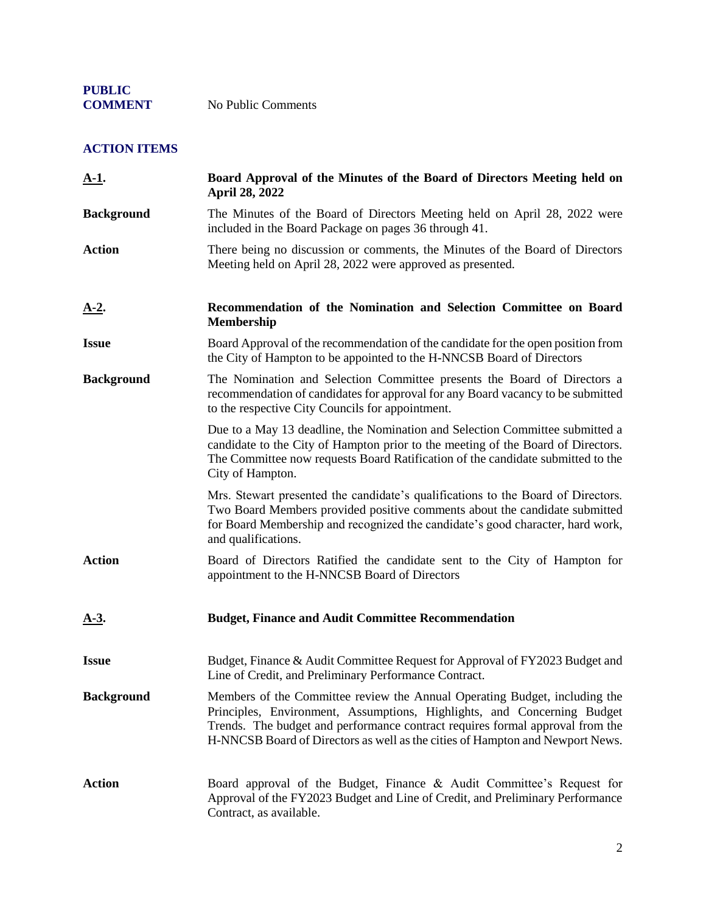### **ACTION ITEMS**

| $A-1$ .           | Board Approval of the Minutes of the Board of Directors Meeting held on<br>April 28, 2022                                                                                                                                                                                                                               |
|-------------------|-------------------------------------------------------------------------------------------------------------------------------------------------------------------------------------------------------------------------------------------------------------------------------------------------------------------------|
| <b>Background</b> | The Minutes of the Board of Directors Meeting held on April 28, 2022 were<br>included in the Board Package on pages 36 through 41.                                                                                                                                                                                      |
| <b>Action</b>     | There being no discussion or comments, the Minutes of the Board of Directors<br>Meeting held on April 28, 2022 were approved as presented.                                                                                                                                                                              |
| <u>A-2.</u>       | Recommendation of the Nomination and Selection Committee on Board<br><b>Membership</b>                                                                                                                                                                                                                                  |
| <b>Issue</b>      | Board Approval of the recommendation of the candidate for the open position from<br>the City of Hampton to be appointed to the H-NNCSB Board of Directors                                                                                                                                                               |
| <b>Background</b> | The Nomination and Selection Committee presents the Board of Directors a<br>recommendation of candidates for approval for any Board vacancy to be submitted<br>to the respective City Councils for appointment.                                                                                                         |
|                   | Due to a May 13 deadline, the Nomination and Selection Committee submitted a<br>candidate to the City of Hampton prior to the meeting of the Board of Directors.<br>The Committee now requests Board Ratification of the candidate submitted to the<br>City of Hampton.                                                 |
|                   | Mrs. Stewart presented the candidate's qualifications to the Board of Directors.<br>Two Board Members provided positive comments about the candidate submitted<br>for Board Membership and recognized the candidate's good character, hard work,<br>and qualifications.                                                 |
| <b>Action</b>     | Board of Directors Ratified the candidate sent to the City of Hampton for<br>appointment to the H-NNCSB Board of Directors                                                                                                                                                                                              |
| <u>A-3.</u>       | <b>Budget, Finance and Audit Committee Recommendation</b>                                                                                                                                                                                                                                                               |
| <b>Issue</b>      | Budget, Finance & Audit Committee Request for Approval of FY2023 Budget and<br>Line of Credit, and Preliminary Performance Contract.                                                                                                                                                                                    |
| <b>Background</b> | Members of the Committee review the Annual Operating Budget, including the<br>Principles, Environment, Assumptions, Highlights, and Concerning Budget<br>Trends. The budget and performance contract requires formal approval from the<br>H-NNCSB Board of Directors as well as the cities of Hampton and Newport News. |
| <b>Action</b>     | Board approval of the Budget, Finance & Audit Committee's Request for<br>Approval of the FY2023 Budget and Line of Credit, and Preliminary Performance<br>Contract, as available.                                                                                                                                       |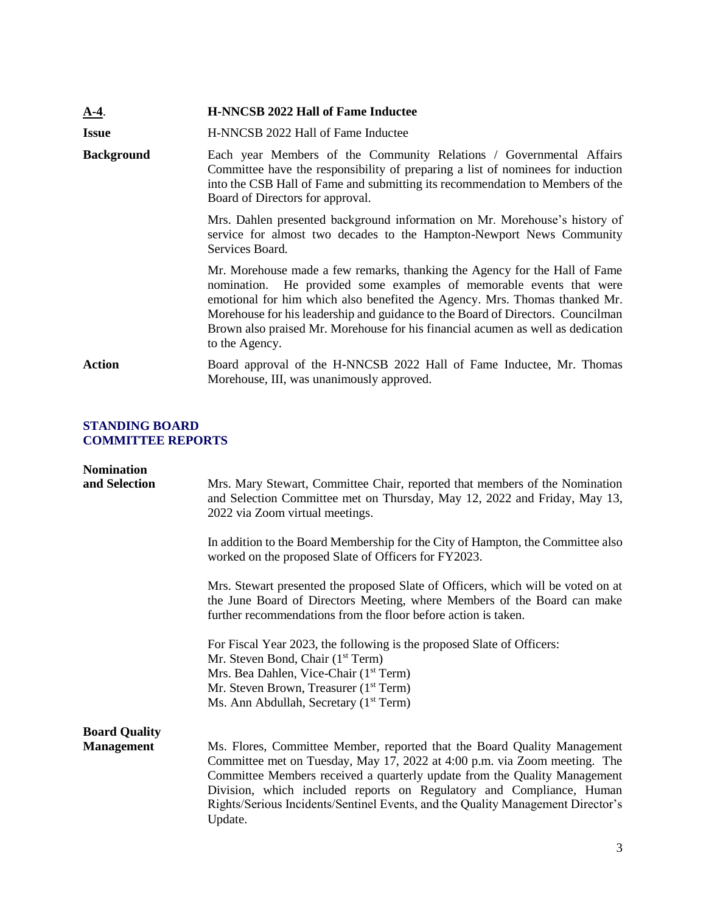| $A-4$ .           | <b>H-NNCSB 2022 Hall of Fame Inductee</b>                                                                                                                                                                                                                                                                                                                                                                               |
|-------------------|-------------------------------------------------------------------------------------------------------------------------------------------------------------------------------------------------------------------------------------------------------------------------------------------------------------------------------------------------------------------------------------------------------------------------|
| <b>Issue</b>      | H-NNCSB 2022 Hall of Fame Inductee                                                                                                                                                                                                                                                                                                                                                                                      |
| <b>Background</b> | Each year Members of the Community Relations / Governmental Affairs<br>Committee have the responsibility of preparing a list of nominees for induction<br>into the CSB Hall of Fame and submitting its recommendation to Members of the<br>Board of Directors for approval.                                                                                                                                             |
|                   | Mrs. Dahlen presented background information on Mr. Morehouse's history of<br>service for almost two decades to the Hampton-Newport News Community<br>Services Board.                                                                                                                                                                                                                                                   |
|                   | Mr. Morehouse made a few remarks, thanking the Agency for the Hall of Fame<br>nomination. He provided some examples of memorable events that were<br>emotional for him which also benefited the Agency. Mrs. Thomas thanked Mr.<br>Morehouse for his leadership and guidance to the Board of Directors. Councilman<br>Brown also praised Mr. Morehouse for his financial acumen as well as dedication<br>to the Agency. |
| Action            | Board approval of the H-NNCSB 2022 Hall of Fame Inductee, Mr. Thomas<br>Morehouse, III, was unanimously approved.                                                                                                                                                                                                                                                                                                       |

#### **STANDING BOARD COMMITTEE REPORTS**

| <b>Nomination</b><br>and Selection        | Mrs. Mary Stewart, Committee Chair, reported that members of the Nomination<br>and Selection Committee met on Thursday, May 12, 2022 and Friday, May 13,<br>2022 via Zoom virtual meetings.                                                                                                                                                                                                              |
|-------------------------------------------|----------------------------------------------------------------------------------------------------------------------------------------------------------------------------------------------------------------------------------------------------------------------------------------------------------------------------------------------------------------------------------------------------------|
|                                           | In addition to the Board Membership for the City of Hampton, the Committee also<br>worked on the proposed Slate of Officers for FY2023.                                                                                                                                                                                                                                                                  |
|                                           | Mrs. Stewart presented the proposed Slate of Officers, which will be voted on at<br>the June Board of Directors Meeting, where Members of the Board can make<br>further recommendations from the floor before action is taken.                                                                                                                                                                           |
|                                           | For Fiscal Year 2023, the following is the proposed Slate of Officers:<br>Mr. Steven Bond, Chair (1 <sup>st</sup> Term)<br>Mrs. Bea Dahlen, Vice-Chair (1 <sup>st</sup> Term)<br>Mr. Steven Brown, Treasurer (1 <sup>st</sup> Term)                                                                                                                                                                      |
|                                           | Ms. Ann Abdullah, Secretary (1 <sup>st</sup> Term)                                                                                                                                                                                                                                                                                                                                                       |
| <b>Board Quality</b><br><b>Management</b> | Ms. Flores, Committee Member, reported that the Board Quality Management<br>Committee met on Tuesday, May 17, 2022 at 4:00 p.m. via Zoom meeting. The<br>Committee Members received a quarterly update from the Quality Management<br>Division, which included reports on Regulatory and Compliance, Human<br>Rights/Serious Incidents/Sentinel Events, and the Quality Management Director's<br>Update. |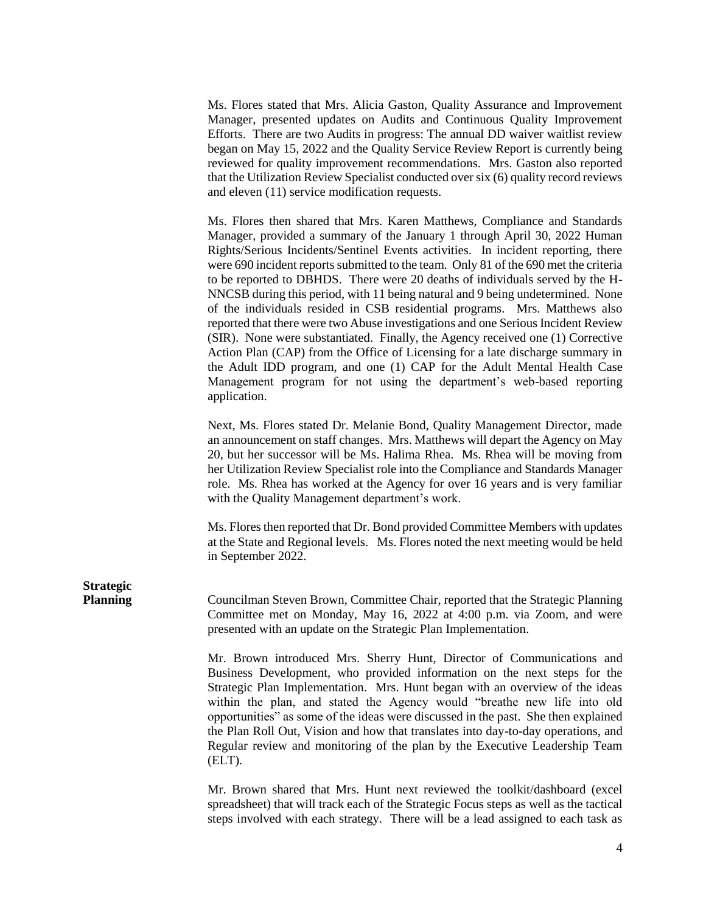Ms. Flores stated that Mrs. Alicia Gaston, Quality Assurance and Improvement Manager, presented updates on Audits and Continuous Quality Improvement Efforts. There are two Audits in progress: The annual DD waiver waitlist review began on May 15, 2022 and the Quality Service Review Report is currently being reviewed for quality improvement recommendations. Mrs. Gaston also reported that the Utilization Review Specialist conducted over six (6) quality record reviews and eleven (11) service modification requests.

Ms. Flores then shared that Mrs. Karen Matthews, Compliance and Standards Manager, provided a summary of the January 1 through April 30, 2022 Human Rights/Serious Incidents/Sentinel Events activities. In incident reporting, there were 690 incident reports submitted to the team. Only 81 of the 690 met the criteria to be reported to DBHDS. There were 20 deaths of individuals served by the H-NNCSB during this period, with 11 being natural and 9 being undetermined. None of the individuals resided in CSB residential programs. Mrs. Matthews also reported that there were two Abuse investigations and one Serious Incident Review (SIR). None were substantiated. Finally, the Agency received one (1) Corrective Action Plan (CAP) from the Office of Licensing for a late discharge summary in the Adult IDD program, and one (1) CAP for the Adult Mental Health Case Management program for not using the department's web-based reporting application.

Next, Ms. Flores stated Dr. Melanie Bond, Quality Management Director, made an announcement on staff changes. Mrs. Matthews will depart the Agency on May 20, but her successor will be Ms. Halima Rhea. Ms. Rhea will be moving from her Utilization Review Specialist role into the Compliance and Standards Manager role. Ms. Rhea has worked at the Agency for over 16 years and is very familiar with the Quality Management department's work.

Ms. Flores then reported that Dr. Bond provided Committee Members with updates at the State and Regional levels. Ms. Flores noted the next meeting would be held in September 2022.

**Strategic**

**Planning** Councilman Steven Brown, Committee Chair, reported that the Strategic Planning Committee met on Monday, May 16, 2022 at 4:00 p.m. via Zoom, and were presented with an update on the Strategic Plan Implementation.

> Mr. Brown introduced Mrs. Sherry Hunt, Director of Communications and Business Development, who provided information on the next steps for the Strategic Plan Implementation. Mrs. Hunt began with an overview of the ideas within the plan, and stated the Agency would "breathe new life into old opportunities" as some of the ideas were discussed in the past. She then explained the Plan Roll Out, Vision and how that translates into day-to-day operations, and Regular review and monitoring of the plan by the Executive Leadership Team (ELT).

> Mr. Brown shared that Mrs. Hunt next reviewed the toolkit/dashboard (excel spreadsheet) that will track each of the Strategic Focus steps as well as the tactical steps involved with each strategy. There will be a lead assigned to each task as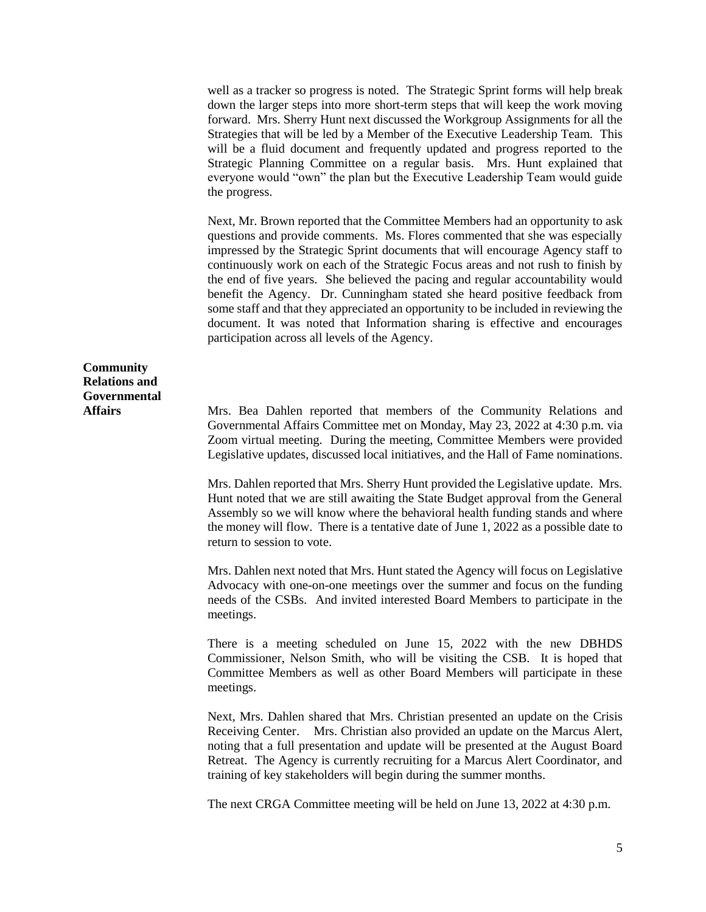well as a tracker so progress is noted. The Strategic Sprint forms will help break down the larger steps into more short-term steps that will keep the work moving forward. Mrs. Sherry Hunt next discussed the Workgroup Assignments for all the Strategies that will be led by a Member of the Executive Leadership Team. This will be a fluid document and frequently updated and progress reported to the Strategic Planning Committee on a regular basis. Mrs. Hunt explained that everyone would "own" the plan but the Executive Leadership Team would guide the progress.

Next, Mr. Brown reported that the Committee Members had an opportunity to ask questions and provide comments. Ms. Flores commented that she was especially impressed by the Strategic Sprint documents that will encourage Agency staff to continuously work on each of the Strategic Focus areas and not rush to finish by the end of five years. She believed the pacing and regular accountability would benefit the Agency. Dr. Cunningham stated she heard positive feedback from some staff and that they appreciated an opportunity to be included in reviewing the document. It was noted that Information sharing is effective and encourages participation across all levels of the Agency.

**Community Relations and Governmental**

**Affairs** Mrs. Bea Dahlen reported that members of the Community Relations and Governmental Affairs Committee met on Monday, May 23, 2022 at 4:30 p.m. via Zoom virtual meeting. During the meeting, Committee Members were provided Legislative updates, discussed local initiatives, and the Hall of Fame nominations.

> Mrs. Dahlen reported that Mrs. Sherry Hunt provided the Legislative update. Mrs. Hunt noted that we are still awaiting the State Budget approval from the General Assembly so we will know where the behavioral health funding stands and where the money will flow. There is a tentative date of June 1, 2022 as a possible date to return to session to vote.

> Mrs. Dahlen next noted that Mrs. Hunt stated the Agency will focus on Legislative Advocacy with one-on-one meetings over the summer and focus on the funding needs of the CSBs. And invited interested Board Members to participate in the meetings.

> There is a meeting scheduled on June 15, 2022 with the new DBHDS Commissioner, Nelson Smith, who will be visiting the CSB. It is hoped that Committee Members as well as other Board Members will participate in these meetings.

> Next, Mrs. Dahlen shared that Mrs. Christian presented an update on the Crisis Receiving Center. Mrs. Christian also provided an update on the Marcus Alert, noting that a full presentation and update will be presented at the August Board Retreat. The Agency is currently recruiting for a Marcus Alert Coordinator, and training of key stakeholders will begin during the summer months.

The next CRGA Committee meeting will be held on June 13, 2022 at 4:30 p.m.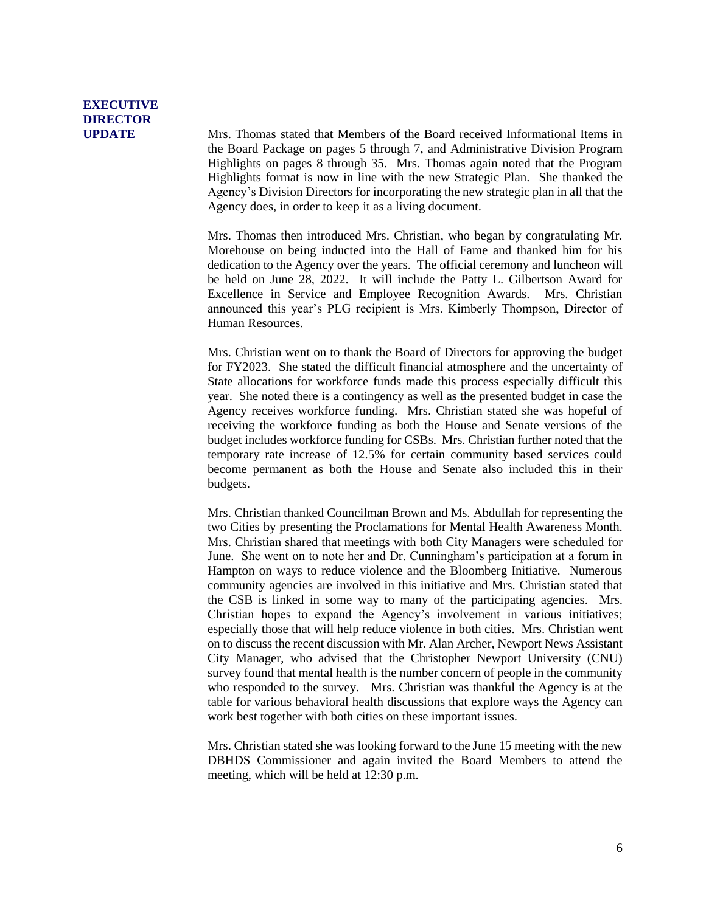# **EXECUTIVE DIRECTOR**

**UPDATE** Mrs. Thomas stated that Members of the Board received Informational Items in the Board Package on pages 5 through 7, and Administrative Division Program Highlights on pages 8 through 35. Mrs. Thomas again noted that the Program Highlights format is now in line with the new Strategic Plan. She thanked the Agency's Division Directors for incorporating the new strategic plan in all that the Agency does, in order to keep it as a living document.

> Mrs. Thomas then introduced Mrs. Christian, who began by congratulating Mr. Morehouse on being inducted into the Hall of Fame and thanked him for his dedication to the Agency over the years. The official ceremony and luncheon will be held on June 28, 2022. It will include the Patty L. Gilbertson Award for Excellence in Service and Employee Recognition Awards. Mrs. Christian announced this year's PLG recipient is Mrs. Kimberly Thompson, Director of Human Resources.

> Mrs. Christian went on to thank the Board of Directors for approving the budget for FY2023. She stated the difficult financial atmosphere and the uncertainty of State allocations for workforce funds made this process especially difficult this year. She noted there is a contingency as well as the presented budget in case the Agency receives workforce funding. Mrs. Christian stated she was hopeful of receiving the workforce funding as both the House and Senate versions of the budget includes workforce funding for CSBs. Mrs. Christian further noted that the temporary rate increase of 12.5% for certain community based services could become permanent as both the House and Senate also included this in their budgets.

> Mrs. Christian thanked Councilman Brown and Ms. Abdullah for representing the two Cities by presenting the Proclamations for Mental Health Awareness Month. Mrs. Christian shared that meetings with both City Managers were scheduled for June. She went on to note her and Dr. Cunningham's participation at a forum in Hampton on ways to reduce violence and the Bloomberg Initiative. Numerous community agencies are involved in this initiative and Mrs. Christian stated that the CSB is linked in some way to many of the participating agencies. Mrs. Christian hopes to expand the Agency's involvement in various initiatives; especially those that will help reduce violence in both cities. Mrs. Christian went on to discuss the recent discussion with Mr. Alan Archer, Newport News Assistant City Manager, who advised that the Christopher Newport University (CNU) survey found that mental health is the number concern of people in the community who responded to the survey. Mrs. Christian was thankful the Agency is at the table for various behavioral health discussions that explore ways the Agency can work best together with both cities on these important issues.

> Mrs. Christian stated she was looking forward to the June 15 meeting with the new DBHDS Commissioner and again invited the Board Members to attend the meeting, which will be held at 12:30 p.m.